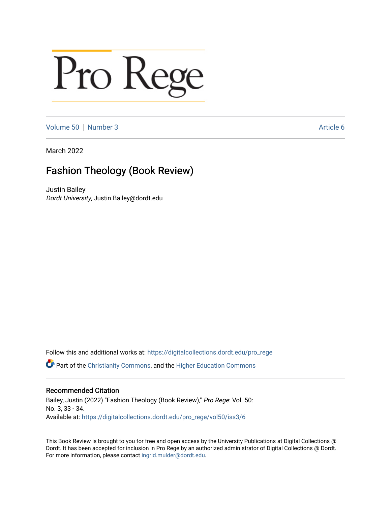## Pro Rege

[Volume 50](https://digitalcollections.dordt.edu/pro_rege/vol50) [Number 3](https://digitalcollections.dordt.edu/pro_rege/vol50/iss3) Article 6

March 2022

## Fashion Theology (Book Review)

Justin Bailey Dordt University, Justin.Bailey@dordt.edu

Follow this and additional works at: [https://digitalcollections.dordt.edu/pro\\_rege](https://digitalcollections.dordt.edu/pro_rege?utm_source=digitalcollections.dordt.edu%2Fpro_rege%2Fvol50%2Fiss3%2F6&utm_medium=PDF&utm_campaign=PDFCoverPages) 

Part of the [Christianity Commons,](http://network.bepress.com/hgg/discipline/1181?utm_source=digitalcollections.dordt.edu%2Fpro_rege%2Fvol50%2Fiss3%2F6&utm_medium=PDF&utm_campaign=PDFCoverPages) and the [Higher Education Commons](http://network.bepress.com/hgg/discipline/1245?utm_source=digitalcollections.dordt.edu%2Fpro_rege%2Fvol50%2Fiss3%2F6&utm_medium=PDF&utm_campaign=PDFCoverPages) 

## Recommended Citation

Bailey, Justin (2022) "Fashion Theology (Book Review)," Pro Rege: Vol. 50: No. 3, 33 - 34. Available at: [https://digitalcollections.dordt.edu/pro\\_rege/vol50/iss3/6](https://digitalcollections.dordt.edu/pro_rege/vol50/iss3/6?utm_source=digitalcollections.dordt.edu%2Fpro_rege%2Fvol50%2Fiss3%2F6&utm_medium=PDF&utm_campaign=PDFCoverPages) 

This Book Review is brought to you for free and open access by the University Publications at Digital Collections @ Dordt. It has been accepted for inclusion in Pro Rege by an authorized administrator of Digital Collections @ Dordt. For more information, please contact [ingrid.mulder@dordt.edu](mailto:ingrid.mulder@dordt.edu).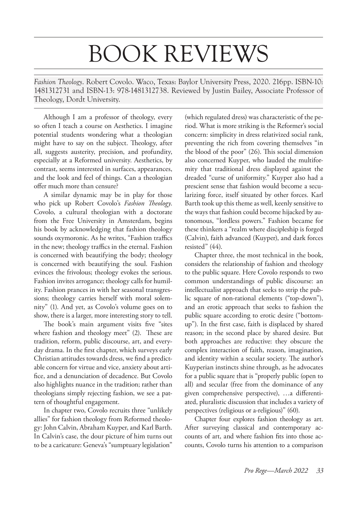## BOOK REVIEWS

*Fashion Theology*. Robert Covolo. Waco, Texas: Baylor University Press, 2020. 216pp. ISBN-10: 1481312731 and ISBN-13: 978-1481312738. Reviewed by Justin Bailey, Associate Professor of Theology, Dordt University.

Although I am a professor of theology, every so often I teach a course on Aesthetics. I imagine potential students wondering what a theologian might have to say on the subject. Theology, after all, suggests austerity, precision, and profundity, especially at a Reformed university. Aesthetics, by contrast, seems interested in surfaces, appearances, and the look and feel of things. Can a theologian offer much more than censure?

A similar dynamic may be in play for those who pick up Robert Covolo's *Fashion Theology*. Covolo, a cultural theologian with a doctorate from the Free University in Amsterdam, begins his book by acknowledging that fashion theology sounds oxymoronic. As he writes, "Fashion traffics in the new; theology traffics in the eternal. Fashion is concerned with beautifying the body; theology is concerned with beautifying the soul. Fashion evinces the frivolous; theology evokes the serious. Fashion invites arrogance; theology calls for humility. Fashion prances in with her seasonal transgressions; theology carries herself with moral solemnity" (1). And yet, as Covolo's volume goes on to show, there is a larger, more interesting story to tell.

The book's main argument visits five "sites where fashion and theology meet" (2). These are tradition, reform, public discourse, art, and everyday drama. In the first chapter, which surveys early Christian attitudes towards dress, we find a predictable concern for virtue and vice, anxiety about artifice, and a denunciation of decadence. But Covolo also highlights nuance in the tradition; rather than theologians simply rejecting fashion, we see a pattern of thoughtful engagement.

In chapter two, Covolo recruits three "unlikely allies" for fashion theology from Reformed theology: John Calvin, Abraham Kuyper, and Karl Barth. In Calvin's case, the dour picture of him turns out to be a caricature: Geneva's "sumptuary legislation"

(which regulated dress) was characteristic of the period. What is more striking is the Reformer's social concern: simplicity in dress relativized social rank, preventing the rich from covering themselves "in the blood of the poor" (26). This social dimension also concerned Kuyper, who lauded the multiformity that traditional dress displayed against the dreaded "curse of uniformity." Kuyper also had a prescient sense that fashion would become a secularizing force, itself situated by other forces. Karl Barth took up this theme as well, keenly sensitive to the ways that fashion could become hijacked by autonomous, "lordless powers." Fashion became for these thinkers a "realm where discipleship is forged (Calvin), faith advanced (Kuyper), and dark forces resisted" (44).

Chapter three, the most technical in the book, considers the relationship of fashion and theology to the public square. Here Covolo responds to two common understandings of public discourse: an intellectualist approach that seeks to strip the public square of non-rational elements ("top-down"), and an erotic approach that seeks to fashion the public square according to erotic desire ("bottomup"). In the first case, faith is displaced by shared reason; in the second place by shared desire. But both approaches are reductive: they obscure the complex interaction of faith, reason, imagination, and identity within a secular society. The author's Kuyperian instincts shine through, as he advocates for a public square that is "properly public (open to all) and secular (free from the dominance of any given comprehensive perspective), …a differentiated, pluralistic discussion that includes a variety of perspectives (religious or a-religious)" (60).

Chapter four explores fashion theology as art. After surveying classical and contemporary accounts of art, and where fashion fits into those accounts, Covolo turns his attention to a comparison